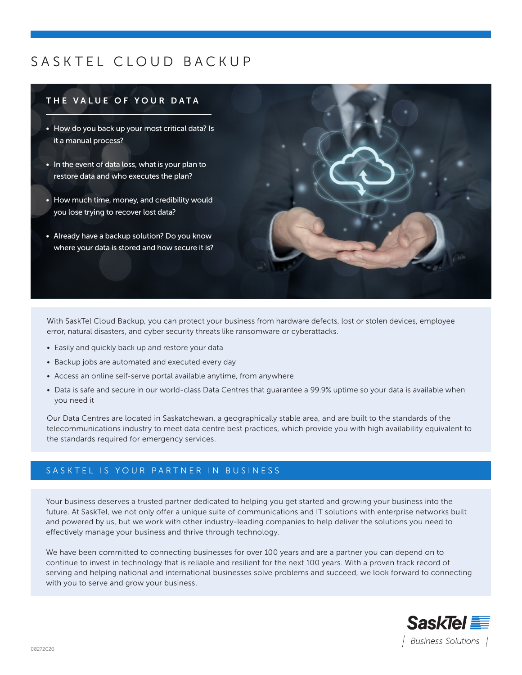# SASKTEL CLOUD BACKUP

## THE VALUE OF YOUR DATA

- How do you back up your most critical data? Is it a manual process?
- In the event of data loss, what is your plan to restore data and who executes the plan?
- How much time, money, and credibility would you lose trying to recover lost data?
- Already have a backup solution? Do you know where your data is stored and how secure it is?



With SaskTel Cloud Backup, you can protect your business from hardware defects, lost or stolen devices, employee error, natural disasters, and cyber security threats like ransomware or cyberattacks.

- Easily and quickly back up and restore your data
- Backup jobs are automated and executed every day
- Access an online self-serve portal available anytime, from anywhere
- Data is safe and secure in our world-class Data Centres that guarantee a 99.9% uptime so your data is available when you need it

Our Data Centres are located in Saskatchewan, a geographically stable area, and are built to the standards of the telecommunications industry to meet data centre best practices, which provide you with high availability equivalent to the standards required for emergency services.

## SASKTEL IS YOUR PARTNER IN BUSINESS

Your business deserves a trusted partner dedicated to helping you get started and growing your business into the future. At SaskTel, we not only offer a unique suite of communications and IT solutions with enterprise networks built and powered by us, but we work with other industry-leading companies to help deliver the solutions you need to effectively manage your business and thrive through technology.

We have been committed to connecting businesses for over 100 years and are a partner you can depend on to continue to invest in technology that is reliable and resilient for the next 100 years. With a proven track record of serving and helping national and international businesses solve problems and succeed, we look forward to connecting with you to serve and grow your business.